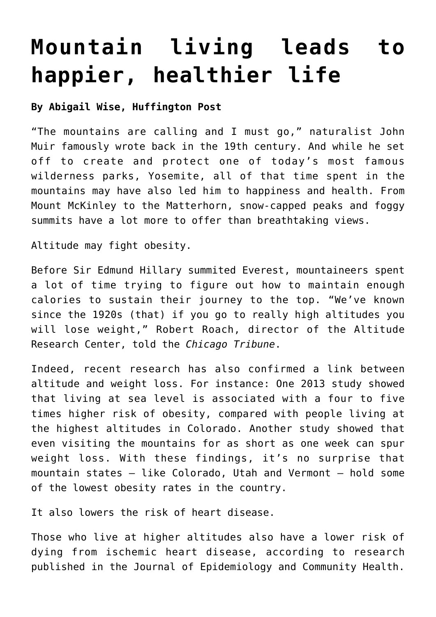## **[Mountain living leads to](https://www.laketahoenews.net/2014/08/mountain-living-leads-to-happier-healthier-life/) [happier, healthier life](https://www.laketahoenews.net/2014/08/mountain-living-leads-to-happier-healthier-life/)**

## **By Abigail Wise, Huffington Post**

"The mountains are calling and I must go," naturalist John Muir famously wrote back in the 19th century. And while he set off to create and protect one of today's most famous wilderness parks, Yosemite, all of that time spent in the mountains may have also led him to happiness and health. From Mount McKinley to the Matterhorn, snow-capped peaks and foggy summits have a lot more to offer than breathtaking views.

Altitude may fight obesity.

Before Sir Edmund Hillary summited Everest, mountaineers spent a lot of time trying to figure out how to maintain enough calories to sustain their journey to the top. "We've known since the 1920s (that) if you go to really high altitudes you will lose weight," Robert Roach, director of the Altitude Research Center, told the *Chicago Tribune*.

Indeed, recent research has also confirmed a link between altitude and weight loss. For instance: One 2013 study showed that living at sea level is associated with a four to five times higher risk of obesity, compared with people living at the highest altitudes in Colorado. Another study showed that even visiting the mountains for as short as one week can spur weight loss. With these findings, it's no surprise that mountain states — like Colorado, Utah and Vermont — hold some of the lowest obesity rates in the country.

It also lowers the risk of heart disease.

Those who live at higher altitudes also have a lower risk of dying from ischemic heart disease, according to research published in the Journal of Epidemiology and Community Health.